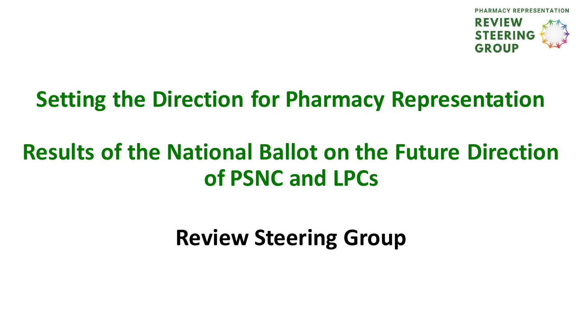

#### **Setting the Direction for Pharmacy Representation**

### **Results of the National Ballot on the Future Direction of PSNC and LPCs**

**Review Steering Group**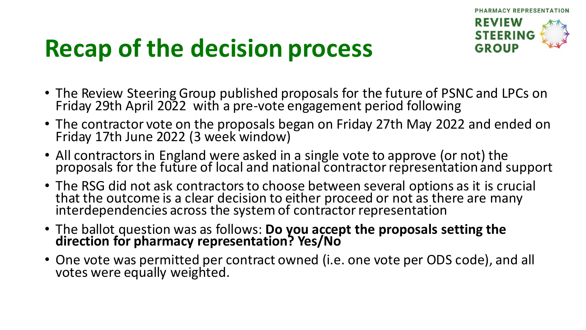

# **Recap of the decision process**

- The Review Steering Group published proposals for the future of PSNC and LPCs on Friday 29th April 2022 with a pre-vote engagement period following
- The contractor vote on the proposals began on Friday 27th May 2022 and ended on Friday 17th June 2022 (3 week window)
- All contractors in England were asked in a single vote to approve (or not) the proposals for the future of local and national contractor representation and support
- The RSG did not ask contractors to choose between several options as it is crucial that the outcome is a clear decision to either proceed or not as there are many interdependencies across the system of contractor representation
- The ballot question was as follows: **Do you accept the proposals setting the direction for pharmacy representation? Yes/No**
- One vote was permitted per contract owned (i.e. one vote per ODS code), and all votes were equally weighted.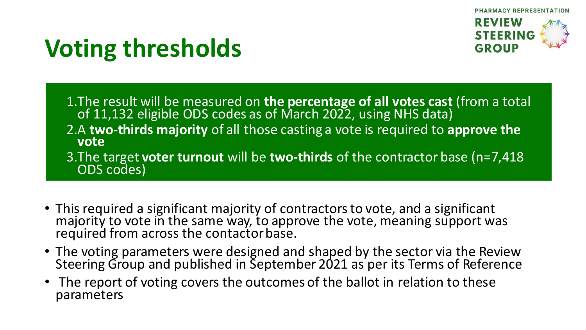

# **Voting thresholds**

1.The result will be measured on **the percentage of all votes cast** (from a total of 11,132 eligible ODS codes as of March 2022, using NHS data) 2.A **two-thirds majority** of all those casting a vote is required to **approve the vote** 3.The target **voter turnout** will be **two-thirds** of the contractor base (n=7,418 ODS codes)

- This required a significant majority of contractors to vote, and a significant majority to vote in the same way, to approve the vote, meaning support was required from across the contactor base.
- The voting parameters were designed and shaped by the sector via the Review Steering Group and published in September 2021 as per its Terms of Reference
- The report of voting covers the outcomes of the ballot in relation to these parameters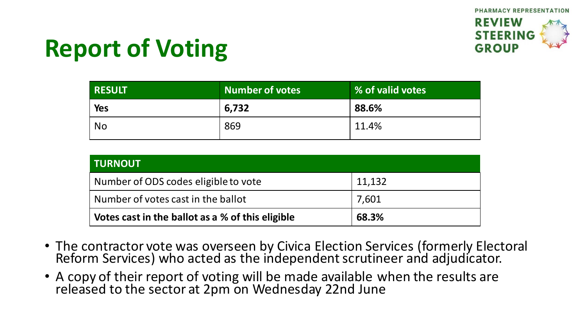## **Report of Voting**

| <b>RESULT</b> | <b>Number of votes</b> | % of valid votes |
|---------------|------------------------|------------------|
| <b>Yes</b>    | 6,732                  | 88.6%            |
| <b>No</b>     | 869                    | 11.4%            |

| <b>TURNOUT</b>                                   |        |
|--------------------------------------------------|--------|
| Number of ODS codes eligible to vote             | 11,132 |
| Number of votes cast in the ballot               | 7,601  |
| Votes cast in the ballot as a % of this eligible | 68.3%  |

- The contractor vote was overseen by Civica Election Services (formerly Electoral Reform Services) who acted as the independent scrutineer and adjudicator.
- A copy of their report of voting will be made available when the results are released to the sector at 2pm on Wednesday 22nd June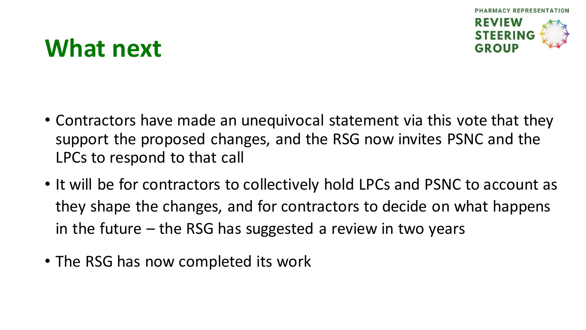

### **What next**

- Contractors have made an unequivocal statement via this vote that they support the proposed changes, and the RSG now invites PSNC and the LPCs to respond to that call
- It will be for contractors to collectively hold LPCs and PSNC to account as they shape the changes, and for contractors to decide on what happens in the future – the RSG has suggested a review in two years
- The RSG has now completed its work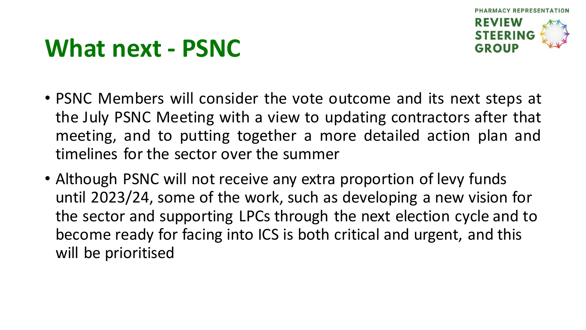

## **What next - PSNC**

- PSNC Members will consider the vote outcome and its next steps at the July PSNC Meeting with a view to updating contractors after that meeting, and to putting together a more detailed action plan and timelines for the sector over the summer
- Although PSNC will not receive any extra proportion of levy funds until 2023/24, some of the work, such as developing a new vision for the sector and supporting LPCs through the next election cycle and to become ready for facing into ICS is both critical and urgent, and this will be prioritised